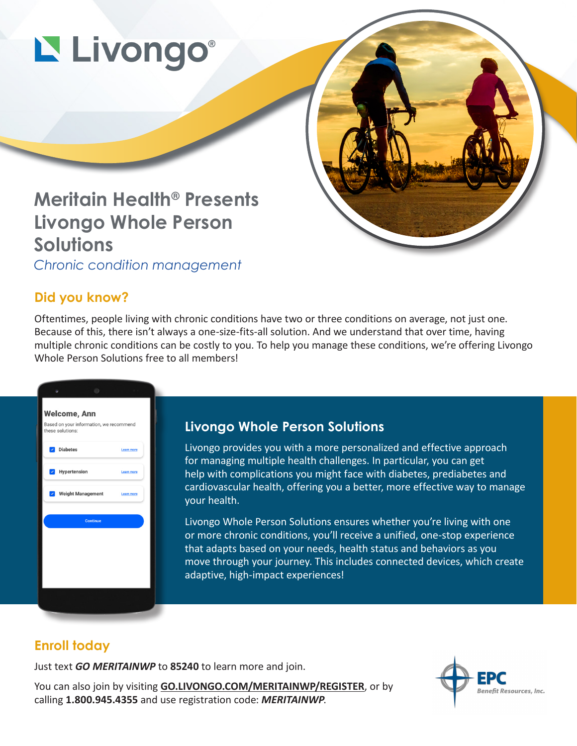# Livongo®

## **Meritain Health® Presents Livongo Whole Person Solutions**

*Chronic condition management* 

### **Did you know?**

Oftentimes, people living with chronic conditions have two or three conditions on average, not just one. Because of this, there isn't always a one-size-fits-all solution. And we understand that over time, having multiple chronic conditions can be costly to you. To help you manage these conditions, we're offering Livongo Whole Person Solutions free to all members!



#### **Livongo Whole Person Solutions**

Livongo provides you with a more personalized and effective approach for managing multiple health challenges. In particular, you can get help with complications you might face with diabetes, prediabetes and cardiovascular health, offering you a better, more effective way to manage your health.

Livongo Whole Person Solutions ensures whether you're living with one or more chronic conditions, you'll receive a unified, one-stop experience that adapts based on your needs, health status and behaviors as you move through your journey. This includes connected devices, which create adaptive, high-impact experiences!

#### **Enroll today**

Just text *GO MERITAINWP* to **85240** to learn more and join.

You can also join by visiting **[GO.LIVONGO.COM/MERITAINWP/REGISTER](https://hello.livongo.com/GEN?regcode=MERITAINWP&ccid=GEN&utm_medium=offline&utm_source=print)**, or by calling **1.800.945.4355** and use registration code: *MERITAINWP*.